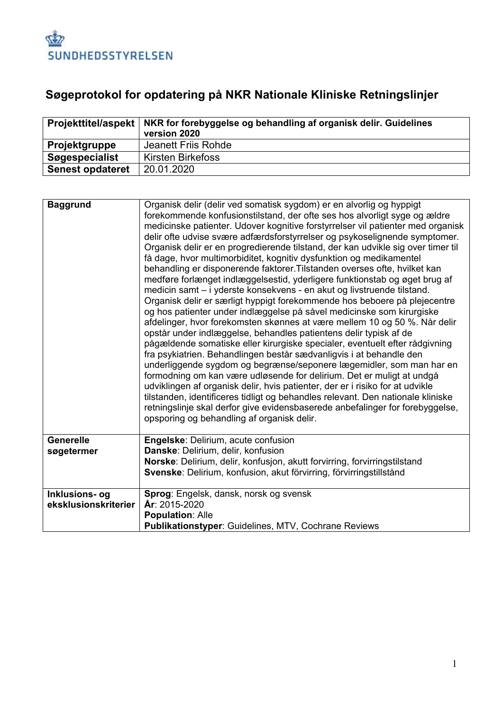

## **Søgeprotokol for opdatering på NKR Nationale Kliniske Retningslinjer**

|                         | Projekttitel/aspekt   NKR for forebyggelse og behandling af organisk delir. Guidelines<br>version 2020 |
|-------------------------|--------------------------------------------------------------------------------------------------------|
| Projektgruppe           | Jeanett Friis Rohde                                                                                    |
| Søgespecialist          | Kirsten Birkefoss                                                                                      |
| <b>Senest opdateret</b> | 20.01.2020                                                                                             |

| <b>Baggrund</b>                        | Organisk delir (delir ved somatisk sygdom) er en alvorlig og hyppigt<br>forekommende konfusionstilstand, der ofte ses hos alvorligt syge og ældre<br>medicinske patienter. Udover kognitive forstyrrelser vil patienter med organisk<br>delir ofte udvise svære adfærdsforstyrrelser og psykoselignende symptomer.<br>Organisk delir er en progredierende tilstand, der kan udvikle sig over timer til<br>få dage, hvor multimorbiditet, kognitiv dysfunktion og medikamentel<br>behandling er disponerende faktorer. Tilstanden overses ofte, hvilket kan<br>medføre forlænget indlæggelsestid, yderligere funktionstab og øget brug af<br>medicin samt - i yderste konsekvens - en akut og livstruende tilstand.<br>Organisk delir er særligt hyppigt forekommende hos beboere på plejecentre<br>og hos patienter under indlæggelse på såvel medicinske som kirurgiske<br>afdelinger, hvor forekomsten skønnes at være mellem 10 og 50 %. Når delir<br>opstår under indlæggelse, behandles patientens delir typisk af de<br>pågældende somatiske eller kirurgiske specialer, eventuelt efter rådgivning<br>fra psykiatrien. Behandlingen består sædvanligvis i at behandle den<br>underliggende sygdom og begrænse/seponere lægemidler, som man har en<br>formodning om kan være udløsende for delirium. Det er muligt at undgå<br>udviklingen af organisk delir, hvis patienter, der er i risiko for at udvikle<br>tilstanden, identificeres tidligt og behandles relevant. Den nationale kliniske<br>retningslinje skal derfor give evidensbaserede anbefalinger for forebyggelse,<br>opsporing og behandling af organisk delir. |
|----------------------------------------|--------------------------------------------------------------------------------------------------------------------------------------------------------------------------------------------------------------------------------------------------------------------------------------------------------------------------------------------------------------------------------------------------------------------------------------------------------------------------------------------------------------------------------------------------------------------------------------------------------------------------------------------------------------------------------------------------------------------------------------------------------------------------------------------------------------------------------------------------------------------------------------------------------------------------------------------------------------------------------------------------------------------------------------------------------------------------------------------------------------------------------------------------------------------------------------------------------------------------------------------------------------------------------------------------------------------------------------------------------------------------------------------------------------------------------------------------------------------------------------------------------------------------------------------------------------------------------------------------------------------------------------|
| <b>Generelle</b><br>søgetermer         | Engelske: Delirium, acute confusion<br>Danske: Delirium, delir, konfusion<br>Norske: Delirium, delir, konfusjon, akutt forvirring, forvirringstilstand<br>Svenske: Delirium, konfusion, akut förvirring, förvirringstillstånd                                                                                                                                                                                                                                                                                                                                                                                                                                                                                                                                                                                                                                                                                                                                                                                                                                                                                                                                                                                                                                                                                                                                                                                                                                                                                                                                                                                                        |
| Inklusions- og<br>eksklusionskriterier | Sprog: Engelsk, dansk, norsk og svensk<br>År: 2015-2020<br><b>Population: Alle</b><br>Publikationstyper: Guidelines, MTV, Cochrane Reviews                                                                                                                                                                                                                                                                                                                                                                                                                                                                                                                                                                                                                                                                                                                                                                                                                                                                                                                                                                                                                                                                                                                                                                                                                                                                                                                                                                                                                                                                                           |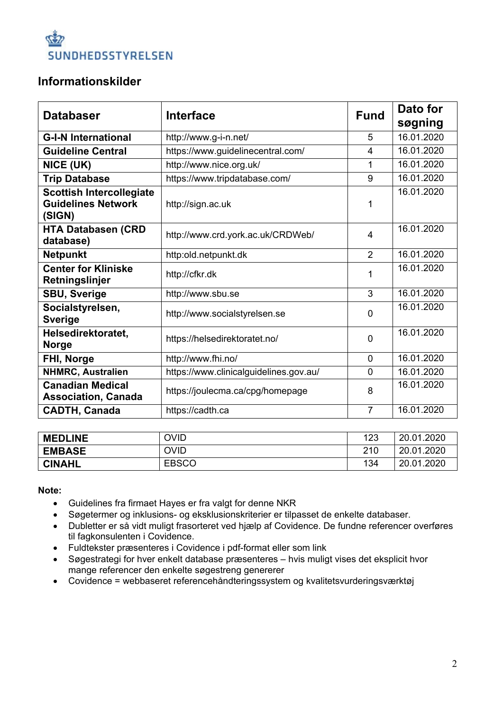

## **Informationskilder**

| <b>Databaser</b>                                                       | <b>Interface</b>                       | <b>Fund</b>    | Dato for<br>søgning |
|------------------------------------------------------------------------|----------------------------------------|----------------|---------------------|
| <b>G-I-N International</b>                                             | http://www.g-i-n.net/                  | 5              | 16.01.2020          |
| <b>Guideline Central</b>                                               | https://www.guidelinecentral.com/      | 4              | 16.01.2020          |
| NICE (UK)                                                              | http://www.nice.org.uk/                | 1              | 16.01.2020          |
| <b>Trip Database</b>                                                   | https://www.tripdatabase.com/          | 9              | 16.01.2020          |
| <b>Scottish Intercollegiate</b><br><b>Guidelines Network</b><br>(SIGN) | http://sign.ac.uk                      | 1              | 16.01.2020          |
| <b>HTA Databasen (CRD</b><br>database)                                 | http://www.crd.york.ac.uk/CRDWeb/      | 4              | 16.01.2020          |
| <b>Netpunkt</b>                                                        | http:old.netpunkt.dk                   | $\overline{2}$ | 16.01.2020          |
| <b>Center for Kliniske</b><br>Retningslinjer                           | http://cfkr.dk                         | 1              | 16.01.2020          |
| <b>SBU, Sverige</b>                                                    | http://www.sbu.se                      | 3              | 16.01.2020          |
| Socialstyrelsen,<br><b>Sverige</b>                                     | http://www.socialstyrelsen.se          |                | 16.01.2020          |
| Helsedirektoratet,<br><b>Norge</b>                                     | https://helsedirektoratet.no/          | $\mathbf 0$    | 16.01.2020          |
| FHI, Norge                                                             | http://www.fhi.no/                     | $\overline{0}$ | 16.01.2020          |
| <b>NHMRC, Australien</b>                                               | https://www.clinicalguidelines.gov.au/ | 0              | 16.01.2020          |
| <b>Canadian Medical</b><br><b>Association, Canada</b>                  | https://joulecma.ca/cpg/homepage       | 8              | 16.01.2020          |
| <b>CADTH, Canada</b>                                                   | https://cadth.ca                       | $\overline{7}$ | 16.01.2020          |

| <b>MEDLINE</b> | <b>OVID</b>  | 123 | 20.01.2020 |
|----------------|--------------|-----|------------|
| <b>EMBASE</b>  | <b>OVID</b>  | 210 | 20.01.2020 |
| <b>CINAHL</b>  | <b>EBSCO</b> | 134 | 20.01.2020 |

**Note:**

- Guidelines fra firmaet Hayes er fra valgt for denne NKR
- Søgetermer og inklusions- og eksklusionskriterier er tilpasset de enkelte databaser.
- Dubletter er så vidt muligt frasorteret ved hjælp af Covidence. De fundne referencer overføres til fagkonsulenten i Covidence.
- Fuldtekster præsenteres i Covidence i pdf-format eller som link
- Søgestrategi for hver enkelt database præsenteres hvis muligt vises det eksplicit hvor mange referencer den enkelte søgestreng genererer
- Covidence = webbaseret referencehåndteringssystem og kvalitetsvurderingsværktøj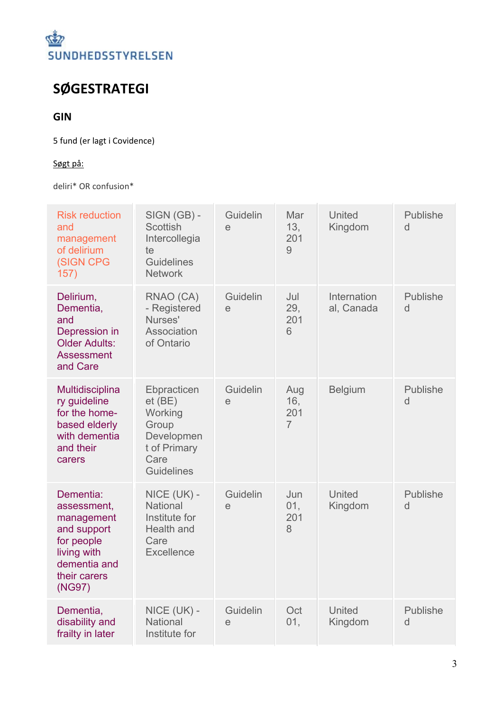

## **SØGESTRATEGI**

## **GIN**

5 fund (er lagt i Covidence)

## Søgt på:

deliri\* OR confusion\*

| <b>Risk reduction</b><br>and<br>management<br>of delirium<br>(SIGN CPG<br>157)                                               | SIGN (GB) -<br><b>Scottish</b><br>Intercollegia<br>te<br><b>Guidelines</b><br><b>Network</b>            | Guidelin<br>e | Mar<br>13,<br>201<br>$\overline{9}$ | United<br>Kingdom         | Publishe<br>d        |
|------------------------------------------------------------------------------------------------------------------------------|---------------------------------------------------------------------------------------------------------|---------------|-------------------------------------|---------------------------|----------------------|
| Delirium,<br>Dementia,<br>and<br>Depression in<br><b>Older Adults:</b><br><b>Assessment</b><br>and Care                      | RNAO (CA)<br>- Registered<br>Nurses'<br>Association<br>of Ontario                                       | Guidelin<br>e | Jul<br>29,<br>201<br>6              | Internation<br>al, Canada | Publishe<br>d        |
| Multidisciplina<br>ry guideline<br>for the home-<br>based elderly<br>with dementia<br>and their<br>carers                    | Ebpracticen<br>$et$ (BE)<br>Working<br>Group<br>Developmen<br>t of Primary<br>Care<br><b>Guidelines</b> | Guidelin<br>e | Aug<br>16,<br>201<br>$\overline{7}$ | <b>Belgium</b>            | Publishe<br>d        |
| Dementia:<br>assessment,<br>management<br>and support<br>for people<br>living with<br>dementia and<br>their carers<br>(NG97) | NICE (UK) -<br><b>National</b><br>Institute for<br><b>Health and</b><br>Care<br><b>Excellence</b>       | Guidelin<br>e | Jun<br>01,<br>201<br>8              | United<br>Kingdom         | <b>Publishe</b><br>d |
| Dementia,<br>disability and<br>frailty in later                                                                              | NICE (UK) -<br><b>National</b><br>Institute for                                                         | Guidelin<br>e | Oct<br>01,                          | <b>United</b><br>Kingdom  | Publishe<br>d        |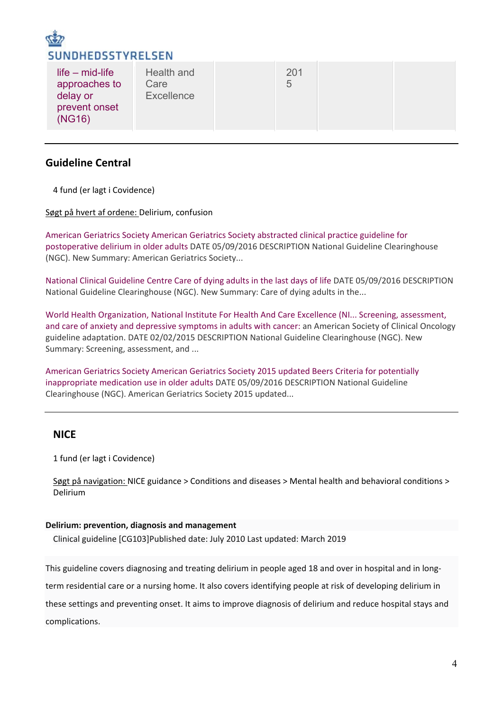

## **Guideline Central**

4 fund (er lagt i Covidence)

Søgt på hvert af ordene: Delirium, confusion

[American Geriatrics Society American Geriatrics Society abstracted clinical practice guideline for](https://www.guidelinecentral.com/share/summary/57320674f2f20)  [postoperative delirium in older adults](https://www.guidelinecentral.com/share/summary/57320674f2f20) DATE 05/09/2016 DESCRIPTION National Guideline Clearinghouse (NGC). New Summary: American Geriatrics Society...

[National Clinical Guideline Centre Care of dying adults in the last days of life](https://www.guidelinecentral.com/share/summary/573206776321b) DATE 05/09/2016 DESCRIPTION National Guideline Clearinghouse (NGC). New Summary: Care of dying adults in the...

[World Health Organization, National Institute For Health And Care Excellence \(NI... Screening,](https://www.guidelinecentral.com/share/summary/54cf8b8444b17) assessment, [and care of anxiety and depressive symptoms in adults with cancer:](https://www.guidelinecentral.com/share/summary/54cf8b8444b17) an American Society of Clinical Oncology guideline adaptation. DATE 02/02/2015 DESCRIPTION National Guideline Clearinghouse (NGC). New Summary: Screening, assessment, and ...

[American Geriatrics Society American Geriatrics Society 2015 updated Beers Criteria for potentially](https://www.guidelinecentral.com/share/summary/573487bbd451f)  [inappropriate medication use in older adults](https://www.guidelinecentral.com/share/summary/573487bbd451f) DATE 05/09/2016 DESCRIPTION National Guideline Clearinghouse (NGC). American Geriatrics Society 2015 updated...

## **NICE**

1 fund (er lagt i Covidence)

Søgt på navigation: NICE guidance > Conditions and diseases > Mental health and behavioral conditions > Delirium

#### **Delirium: prevention, diagnosis and management**

Clinical guideline [CG103]Published date: July 2010 Last updated: March 2019

This guideline covers diagnosing and treating delirium in people aged 18 and over in hospital and in long-

term residential care or a nursing home. It also covers identifying people at risk of developing delirium in

these settings and preventing onset. It aims to improve diagnosis of delirium and reduce hospital stays and complications.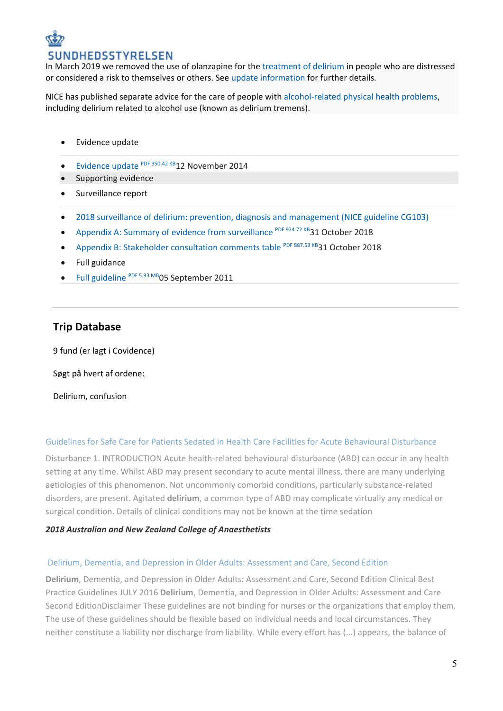## **VDHEDSSTYRELSEN**

In March 2019 we removed the use of olanzapine for the [treatment of delirium](https://www.nice.org.uk/guidance/cg103/chapter/1-Guidance#treating-delirium) in people who are distressed or considered a risk to themselves or others. See [update information](https://www.nice.org.uk/guidance/cg103/chapter/Update-information) for further details.

NICE has published separate advice for the care of people with [alcohol-related physical health problems,](http://www.nice.org.uk/guidance/cg100) including delirium related to alcohol use (known as delirium tremens).

- Evidence update
- [Evidence update](https://www.nice.org.uk/guidance/cg103/evidence/evidence-update-pdf-134649181) PDF 350.42 KB12 November 2014
- Supporting evidence
- Surveillance report
- [2018 surveillance of delirium: prevention, diagnosis and management \(NICE guideline](https://www.nice.org.uk/guidance/cg103/evidence/2018-surveillance-of-delirium-prevention-diagnosis-and-management-nice-guideline-cg103-6594316237?tab=evidence) CG103)
- [Appendix A: Summary of evidence from surveillance](https://www.nice.org.uk/guidance/cg103/evidence/appendix-a-summary-of-evidence-from-surveillance-pdf-6594316238) PDF 924.72 KB31 October 2018
- [Appendix B: Stakeholder consultation comments table](https://www.nice.org.uk/guidance/cg103/evidence/appendix-b-stakeholder-consultation-comments-table-pdf-6594316239) PDF 887.53 KB31 October 2018
- Full guidance
- **[Full guideline](https://www.nice.org.uk/guidance/cg103/evidence/full-guideline-pdf-134653069)** PDF 5.93 MB 05 September 2011

## **Trip Database**

9 fund (er lagt i Covidence)

Søgt på hvert af ordene:

Delirium, confusion

#### [Guidelines for Safe Care for Patients Sedated in Health Care Facilities for Acute Behavioural Disturbance](http://www.anzca.edu.au/documents/ps63-2018-guidelines-for-safe-care-for-patients-se.pdf)

Disturbance 1. INTRODUCTION Acute health-related behavioural disturbance (ABD) can occur in any health setting at any time. Whilst ABD may present secondary to acute mental illness, there are many underlying aetiologies of this phenomenon. Not uncommonly comorbid conditions, particularly substance-related disorders, are present. Agitated **delirium**, a common type of ABD may complicate virtually any medical or surgical condition. Details of clinical conditions may not be known at the time sedation

#### *2018 [Australian and New Zealand College of Anaesthetists](javascript:void(0))*

#### [Delirium, Dementia, and Depression in Older Adults: Assessment and Care, Second Edition](https://rnao.ca/sites/rnao-ca/files/bpg/RNAO_Delirium_Dementia_Depression_Older_Adults_Assessment_and_Care.pdf)

**Delirium**, Dementia, and Depression in Older Adults: Assessment and Care, Second Edition Clinical Best Practice Guidelines JULY 2016 **Delirium**, Dementia, and Depression in Older Adults: Assessment and Care Second EditionDisclaimer These guidelines are not binding for nurses or the organizations that employ them. The use of these guidelines should be flexible based on individual needs and local circumstances. They neither constitute a liability nor discharge from liability. While every effort has (...) appears, the balance of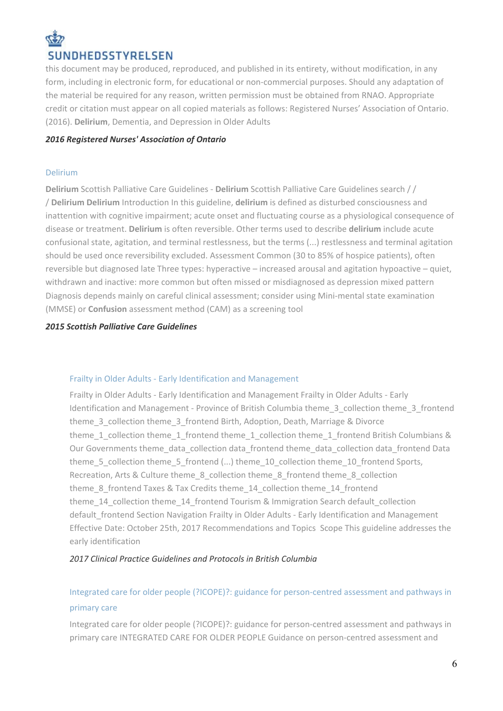# SUNDHEDSSTYRELSEN

this document may be produced, reproduced, and published in its entirety, without modification, in any form, including in electronic form, for educational or non-commercial purposes. Should any adaptation of the material be required for any reason, written permission must be obtained from RNAO. Appropriate credit or citation must appear on all copied materials as follows: Registered Nurses' Association of Ontario. (2016). **Delirium**, Dementia, and Depression in Older Adults

#### *2016 [Registered Nurses' Association of Ontario](javascript:void(0))*

#### [Delirium](http://www.palliativecareguidelines.scot.nhs.uk/guidelines/symptom-control/Delirium.aspx)

**Delirium** Scottish Palliative Care Guidelines - **Delirium** Scottish Palliative Care Guidelines search / / / **Delirium Delirium** Introduction In this guideline, **delirium** is defined as disturbed consciousness and inattention with cognitive impairment; acute onset and fluctuating course as a physiological consequence of disease or treatment. **Delirium** is often reversible. Other terms used to describe **delirium** include acute confusional state, agitation, and terminal restlessness, but the terms (...) restlessness and terminal agitation should be used once reversibility excluded. Assessment Common (30 to 85% of hospice patients), often reversible but diagnosed late Three types: hyperactive – increased arousal and agitation hypoactive – quiet, withdrawn and inactive: more common but often missed or misdiagnosed as depression mixed pattern Diagnosis depends mainly on careful clinical assessment; consider using Mini-mental state examination (MMSE) or **Confusion** assessment method (CAM) as a screening tool

#### *2015 [Scottish Palliative Care Guidelines](javascript:void(0))*

### Frailty in Older Adults - [Early Identification and Management](https://www2.gov.bc.ca/gov/content/health/practitioner-professional-resources/bc-guidelines/frailty)

Frailty in Older Adults - Early Identification and Management Frailty in Older Adults - Early Identification and Management - Province of British Columbia theme\_3\_collection theme\_3\_frontend theme 3 collection theme 3 frontend Birth, Adoption, Death, Marriage & Divorce theme 1 collection theme 1 frontend theme 1 collection theme 1 frontend British Columbians & Our Governments theme\_data\_collection data\_frontend theme\_data\_collection data\_frontend Data theme\_5\_collection theme\_5\_frontend (...) theme\_10\_collection theme\_10\_frontend Sports, Recreation, Arts & Culture theme\_8\_collection theme\_8\_frontend theme\_8\_collection theme 8 frontend Taxes & Tax Credits theme 14 collection theme 14 frontend theme 14 collection theme 14 frontend Tourism & Immigration Search default collection default frontend Section Navigation Frailty in Older Adults - Early Identification and Management Effective Date: October 25th, 2017 Recommendations and Topics Scope This guideline addresses the early identification

### *2017 [Clinical Practice Guidelines and Protocols in British Columbia](javascript:void(0))*

## [Integrated care for older people \(?ICOPE\)?: guidance for person-centred assessment and pathways in](https://apps.who.int/iris/bitstream/10665/326843/1/WHO-FWC-ALC-19.1-eng.pdf?ua=1)  [primary care](https://apps.who.int/iris/bitstream/10665/326843/1/WHO-FWC-ALC-19.1-eng.pdf?ua=1)

Integrated care for older people (?ICOPE)?: guidance for person-centred assessment and pathways in primary care INTEGRATED CARE FOR OLDER PEOPLE Guidance on person-centred assessment and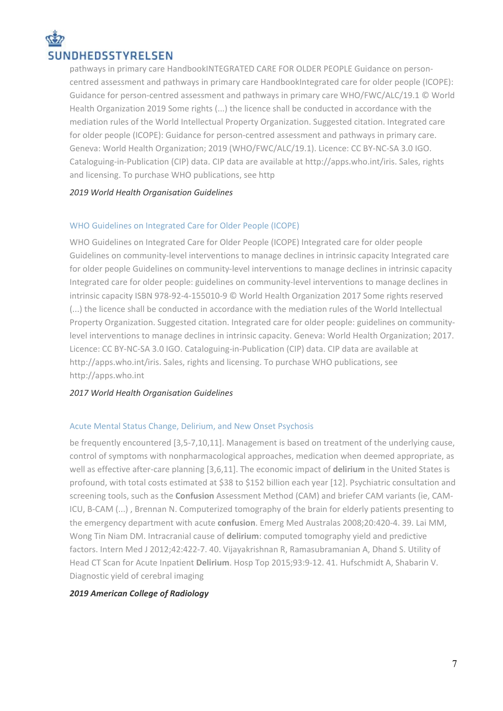# SUNDHEDSSTYRELSEN

pathways in primary care HandbookINTEGRATED CARE FOR OLDER PEOPLE Guidance on personcentred assessment and pathways in primary care HandbookIntegrated care for older people (ICOPE): Guidance for person-centred assessment and pathways in primary care WHO/FWC/ALC/19.1 © World Health Organization 2019 Some rights (...) the licence shall be conducted in accordance with the mediation rules of the World Intellectual Property Organization. Suggested citation. Integrated care for older people (ICOPE): Guidance for person-centred assessment and pathways in primary care. Geneva: World Health Organization; 2019 (WHO/FWC/ALC/19.1). Licence: CC BY-NC-SA 3.0 IGO. Cataloguing-in-Publication (CIP) data. CIP data are available at http://apps.who.int/iris. Sales, rights and licensing. To purchase WHO publications, see http

### *2019 [World Health Organisation Guidelines](javascript:void(0))*

## [WHO Guidelines on Integrated Care for Older People \(ICOPE\)](http://www.who.int/iris/bitstream/10665/258981/1/9789241550109-eng.pdf?ua=1)

WHO Guidelines on Integrated Care for Older People (ICOPE) Integrated care for older people Guidelines on community-level interventions to manage declines in intrinsic capacity Integrated care for older people Guidelines on community-level interventions to manage declines in intrinsic capacity Integrated care for older people: guidelines on community-level interventions to manage declines in intrinsic capacity ISBN 978-92-4-155010-9 © World Health Organization 2017 Some rights reserved (...) the licence shall be conducted in accordance with the mediation rules of the World Intellectual Property Organization. Suggested citation. Integrated care for older people: guidelines on communitylevel interventions to manage declines in intrinsic capacity. Geneva: World Health Organization; 2017. Licence: CC BY-NC-SA 3.0 IGO. Cataloguing-in-Publication (CIP) data. CIP data are available at http://apps.who.int/iris. Sales, rights and licensing. To purchase WHO publications, see http://apps.who.int

### *2017 [World Health Organisation Guidelines](javascript:void(0))*

### [Acute Mental Status Change, Delirium, and New Onset Psychosis](https://acsearch.acr.org/docs/3102409/Narrative/)

be frequently encountered [3,5-7,10,11]. Management is based on treatment of the underlying cause, control of symptoms with nonpharmacological approaches, medication when deemed appropriate, as well as effective after-care planning [3,6,11]. The economic impact of **delirium** in the United States is profound, with total costs estimated at \$38 to \$152 billion each year [12]. Psychiatric consultation and screening tools, such as the **Confusion** Assessment Method (CAM) and briefer CAM variants (ie, CAM-ICU, B-CAM (...) , Brennan N. Computerized tomography of the brain for elderly patients presenting to the emergency department with acute **confusion**. Emerg Med Australas 2008;20:420-4. 39. Lai MM, Wong Tin Niam DM. Intracranial cause of **delirium**: computed tomography yield and predictive factors. Intern Med J 2012;42:422-7. 40. Vijayakrishnan R, Ramasubramanian A, Dhand S. Utility of Head CT Scan for Acute Inpatient **Delirium**. Hosp Top 2015;93:9-12. 41. Hufschmidt A, Shabarin V. Diagnostic yield of cerebral imaging

### *2019 [American College of Radiology](javascript:void(0))*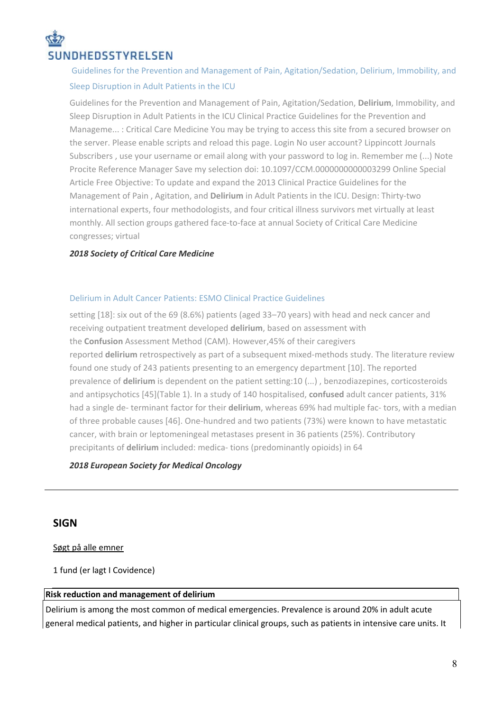# NDHEDSSTYRELSEN

## [Guidelines for the Prevention and Management of Pain, Agitation/Sedation, Delirium, Immobility, and](https://journals.lww.com/ccmjournal/Fulltext/2018/09000/Clinical_Practice_Guidelines_for_the_Prevention.29.aspx)  [Sleep Disruption in Adult Patients in the ICU](https://journals.lww.com/ccmjournal/Fulltext/2018/09000/Clinical_Practice_Guidelines_for_the_Prevention.29.aspx)

Guidelines for the Prevention and Management of Pain, Agitation/Sedation, **Delirium**, Immobility, and Sleep Disruption in Adult Patients in the ICU Clinical Practice Guidelines for the Prevention and Manageme... : Critical Care Medicine You may be trying to access this site from a secured browser on the server. Please enable scripts and reload this page. Login No user account? Lippincott Journals Subscribers , use your username or email along with your password to log in. Remember me (...) Note Procite Reference Manager Save my selection doi: 10.1097/CCM.0000000000003299 Online Special Article Free Objective: To update and expand the 2013 Clinical Practice Guidelines for the Management of Pain , Agitation, and **Delirium** in Adult Patients in the ICU. Design: Thirty-two international experts, four methodologists, and four critical illness survivors met virtually at least monthly. All section groups gathered face-to-face at annual Society of Critical Care Medicine congresses; virtual

### *2018 [Society of Critical Care Medicine](javascript:void(0))*

### [Delirium in Adult Cancer Patients: ESMO Clinical Practice Guidelines](https://academic.oup.com/annonc/advance-article-pdf/doi/10.1093/annonc/mdy147/25108308/mdy147.pdf)

setting [18]: six out of the 69 (8.6%) patients (aged 33–70 years) with head and neck cancer and receiving outpatient treatment developed **delirium**, based on assessment with the **Confusion** Assessment Method (CAM). However,45% of their caregivers reported **delirium** retrospectively as part of a subsequent mixed-methods study. The literature review found one study of 243 patients presenting to an emergency department [10]. The reported prevalence of **delirium** is dependent on the patient setting:10 (...) , benzodiazepines, corticosteroids and antipsychotics [45](Table 1). In a study of 140 hospitalised, **confused** adult cancer patients, 31% had a single de- terminant factor for their **delirium**, whereas 69% had multiple fac- tors, with a median of three probable causes [46]. One-hundred and two patients (73%) were known to have metastatic cancer, with brain or leptomeningeal metastases present in 36 patients (25%). Contributory precipitants of **delirium** included: medica- tions (predominantly opioids) in 64

### *2018 [European Society for Medical Oncology](javascript:void(0))*

## **SIGN**

Søgt på alle emner

1 fund (er lagt I Covidence)

#### **Risk reduction and management of delirium**

Delirium is among the most common of medical emergencies. Prevalence is around 20% in adult acute general medical patients, and higher in particular clinical groups, such as patients in intensive care units. It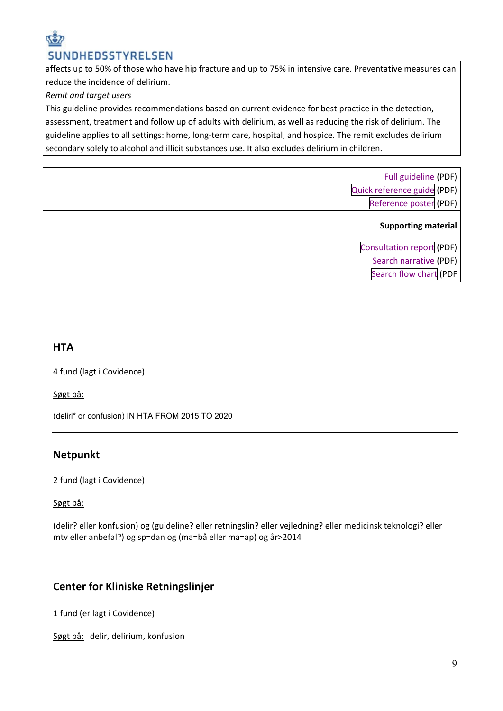## SUNDHEDSSTYRELSEN

affects up to 50% of those who have hip fracture and up to 75% in intensive care. Preventative measures can reduce the incidence of delirium.

## *Remit and target users*

This guideline provides recommendations based on current evidence for best practice in the detection, assessment, treatment and follow up of adults with delirium, as well as reducing the risk of delirium. The guideline applies to all settings: home, long-term care, hospital, and hospice. The remit excludes delirium secondary solely to alcohol and illicit substances use. It also excludes delirium in children.

| Full guideline (PDF)<br>Quick reference guide (PDF)<br>Reference poster (PDF) |
|-------------------------------------------------------------------------------|
| <b>Supporting material</b>                                                    |
| Consultation report (PDF)<br>Search narrative (PDF)<br>Search flow chart (PDF |

## **HTA**

4 fund (lagt i Covidence)

Søgt på:

(deliri\* or confusion) IN HTA FROM 2015 TO 2020

## **Netpunkt**

2 fund (lagt i Covidence)

Søgt på:

[\(delir? eller konfusion\) og \(guideline? eller retningslin? eller vejledning? eller medicinsk teknologi? eller](https://old.netpunkt.dk/vis.php?set=3)  [mtv eller anbefal?\) og sp=dan og \(ma=bå eller ma=ap\) og år>2014](https://old.netpunkt.dk/vis.php?set=3)

## **Center for Kliniske Retningslinjer**

1 fund (er lagt i Covidence)

Søgt på: delir, delirium, konfusion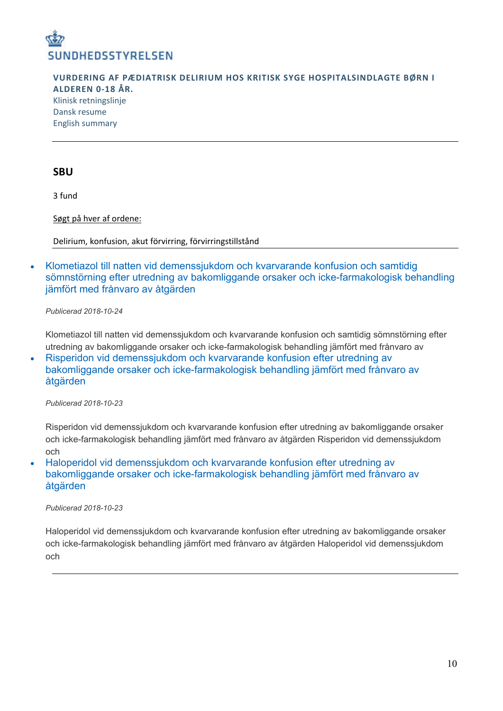

**VURDERING AF PÆDIATRISK DELIRIUM HOS KRITISK SYGE HOSPITALSINDLAGTE BØRN I ALDEREN 0-18 ÅR.** [Klinisk retningslinje](http://cfkr.dk/media/361289/p_diatrisk_delirium_final_godkendt.pdf) [Dansk resume](http://cfkr.dk/media/361292/dansk_resume_til_klinisk_retningslinje.pdf) [English summary](http://cfkr.dk/media/361295/english_summary_til_klinisk_retningslinje.pdf)

### **SBU**

3 fund

Søgt på hver af ordene:

Delirium, konfusion, akut förvirring, förvirringstillstånd

• [Klometiazol till natten vid demenssjukdom och kvarvarande konfusion och samtidig](https://www.sbu.se/sv/publikationer/kunskapsluckor/klometiazol-natt-demenssj-kvarvar-konfusion-samt-somnstorn-utredn-bakomlig-orsaker-icke-farmakol-behan-jamf-franvaro-atgarden/)  [sömnstörning efter utredning av bakomliggande orsaker och icke-farmakologisk behandling](https://www.sbu.se/sv/publikationer/kunskapsluckor/klometiazol-natt-demenssj-kvarvar-konfusion-samt-somnstorn-utredn-bakomlig-orsaker-icke-farmakol-behan-jamf-franvaro-atgarden/)  [jämfört med frånvaro av åtgärden](https://www.sbu.se/sv/publikationer/kunskapsluckor/klometiazol-natt-demenssj-kvarvar-konfusion-samt-somnstorn-utredn-bakomlig-orsaker-icke-farmakol-behan-jamf-franvaro-atgarden/)

*Publicerad 2018-10-24*

Klometiazol till natten vid demenssjukdom och kvarvarande konfusion och samtidig sömnstörning efter utredning av bakomliggande orsaker och icke-farmakologisk behandling jämfört med frånvaro av

• [Risperidon vid demenssjukdom och kvarvarande konfusion efter utredning av](https://www.sbu.se/sv/publikationer/kunskapsluckor/risperidon-vid-demenssjukdom-och-kvarvarande-konfusion-efter-utredning-av-bakomliggande-orsaker-och-icke-farmakologisk-behandling-jamfort-med-franvaro-av-atgarden/)  [bakomliggande orsaker och icke-farmakologisk behandling jämfört med frånvaro av](https://www.sbu.se/sv/publikationer/kunskapsluckor/risperidon-vid-demenssjukdom-och-kvarvarande-konfusion-efter-utredning-av-bakomliggande-orsaker-och-icke-farmakologisk-behandling-jamfort-med-franvaro-av-atgarden/)  [åtgärden](https://www.sbu.se/sv/publikationer/kunskapsluckor/risperidon-vid-demenssjukdom-och-kvarvarande-konfusion-efter-utredning-av-bakomliggande-orsaker-och-icke-farmakologisk-behandling-jamfort-med-franvaro-av-atgarden/)

*Publicerad 2018-10-23*

Risperidon vid demenssjukdom och kvarvarande konfusion efter utredning av bakomliggande orsaker och icke-farmakologisk behandling jämfört med frånvaro av åtgärden Risperidon vid demenssjukdom och

• [Haloperidol vid demenssjukdom och kvarvarande konfusion efter utredning av](https://www.sbu.se/sv/publikationer/kunskapsluckor/haloperidol-vid-demenssjukdom-och-kvarvarande-konfusion-efter-utredning-av-bakomliggande-orsaker-och-icke-farmakologisk-behandling-jamfort-med-franvaro-av-atgarden/)  [bakomliggande orsaker och icke-farmakologisk behandling jämfört med frånvaro av](https://www.sbu.se/sv/publikationer/kunskapsluckor/haloperidol-vid-demenssjukdom-och-kvarvarande-konfusion-efter-utredning-av-bakomliggande-orsaker-och-icke-farmakologisk-behandling-jamfort-med-franvaro-av-atgarden/)  [åtgärden](https://www.sbu.se/sv/publikationer/kunskapsluckor/haloperidol-vid-demenssjukdom-och-kvarvarande-konfusion-efter-utredning-av-bakomliggande-orsaker-och-icke-farmakologisk-behandling-jamfort-med-franvaro-av-atgarden/)

*Publicerad 2018-10-23*

Haloperidol vid demenssjukdom och kvarvarande konfusion efter utredning av bakomliggande orsaker och icke-farmakologisk behandling jämfört med frånvaro av åtgärden Haloperidol vid demenssjukdom och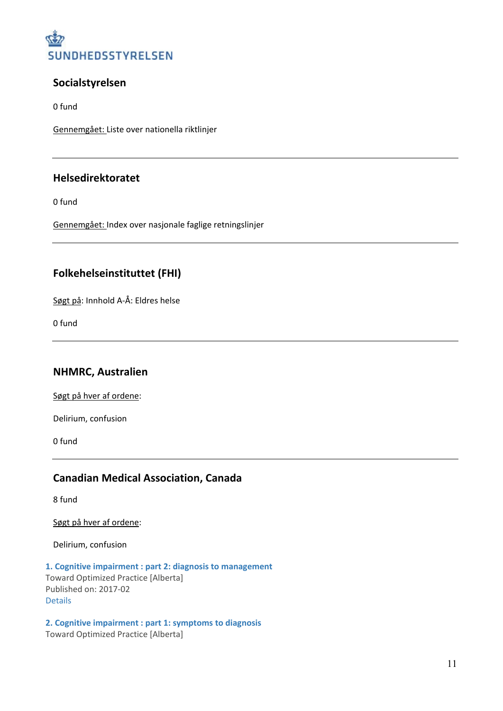

## **Socialstyrelsen**

0 fund

Gennemgået: Liste over nationella riktlinjer

## **Helsedirektoratet**

0 fund

Gennemgået: Index over nasjonale faglige retningslinjer

## **Folkehelseinstituttet (FHI)**

Søgt på: Innhold A-Å: Eldres helse

0 fund

## **NHMRC, Australien**

Søgt på hver af ordene:

Delirium, confusion

0 fund

## **Canadian Medical Association, Canada**

8 fund

Søgt på hver af ordene:

Delirium, confusion

**[1. Cognitive impairment : part 2: diagnosis to management](http://calgaryfamilymedicine.ca/residency/dox/container/CAREOFTHEELDERLY-CognitiveImpairment-Part2-DiagnosisToManagement-2017-CurriculumResourcePrereading.pdf)** Toward Optimized Practice [Alberta] Published on: 2017-02 [Details](https://joulecma.ca/cpg/search/view/17204)

**[2. Cognitive impairment : part 1: symptoms to diagnosis](https://actt.albertadoctors.org/CPGs/Lists/CPGDocumentList/Cogn-Imp-1-Symptoms-to-Diagnosis.pdf)** Toward Optimized Practice [Alberta]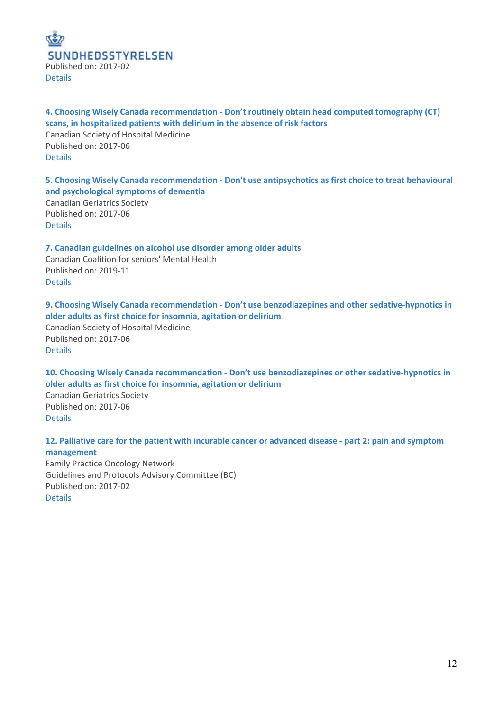

**4. Choosing Wisely Canada recommendation - [Don't routinely obtain head computed tomography \(CT\)](https://choosingwiselycanada.org/wp-content/uploads/2017/02/Hospital-medicine.pdf)  [scans, in hospitalized patients with delirium in the absence of risk factors](https://choosingwiselycanada.org/wp-content/uploads/2017/02/Hospital-medicine.pdf)** Canadian Society of Hospital Medicine

Published on: 2017-06 [Details](https://joulecma.ca/cpg/search/view/19535)

**5. Choosing Wisely Canada recommendation - [Don't use antipsychotics as first choice to treat behavioural](https://choosingwiselycanada.org/wp-content/uploads/2017/02/Geriatrics.pdf)  [and psychological symptoms of dementia](https://choosingwiselycanada.org/wp-content/uploads/2017/02/Geriatrics.pdf)**

Canadian Geriatrics Society Published on: 2017-06 [Details](https://joulecma.ca/cpg/search/view/19507)

**[7. Canadian guidelines on alcohol use disorder among older adults](https://ccsmh.ca/wp-content/uploads/2019/12/Final_Alcohol_Use_DisorderV6.pdf)** Canadian Coalition for seniors' Mental Health Published on: 2019-11 [Details](https://joulecma.ca/cpg/search/view/20227)

**9. Choosing Wisely Canada recommendation - [Don't use benzodiazepines and other sedative-hypnotics in](https://choosingwiselycanada.org/wp-content/uploads/2017/02/Hospital-medicine.pdf)  [older adults as first choice for insomnia, agitation or delirium](https://choosingwiselycanada.org/wp-content/uploads/2017/02/Hospital-medicine.pdf)** Canadian Society of Hospital Medicine Published on: 2017-06 [Details](https://joulecma.ca/cpg/search/view/19533)

**10. Choosing Wisely Canada recommendation - [Don't use benzodiazepines or other sedative-hypnotics in](https://choosingwiselycanada.org/wp-content/uploads/2017/02/Geriatrics.pdf)  [older adults as first choice for insomnia, agitation or delirium](https://choosingwiselycanada.org/wp-content/uploads/2017/02/Geriatrics.pdf)** Canadian Geriatrics Society Published on: 2017-06 [Details](https://joulecma.ca/cpg/search/view/19505)

**[12. Palliative care for the patient with incurable cancer or advanced disease -](http://www2.gov.bc.ca/assets/gov/health/practitioner-pro/bc-guidelines/palliative2.pdf) part 2: pain and symptom [management](http://www2.gov.bc.ca/assets/gov/health/practitioner-pro/bc-guidelines/palliative2.pdf)** Family Practice Oncology Network Guidelines and Protocols Advisory Committee (BC) Published on: 2017-02 [Details](https://joulecma.ca/cpg/search/view/17405)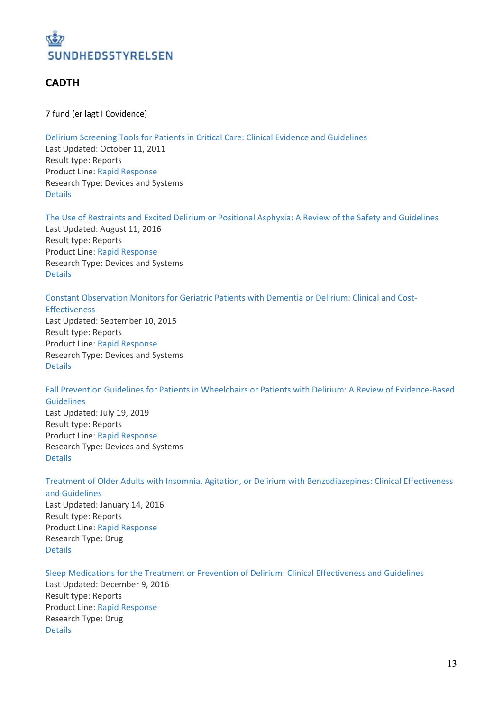

## **CADTH**

7 fund (er lagt I Covidence)

Delirium Screening Tools for Patients in Critical Care: Clinical Evidence and [Guidelines](https://cadth.ca/delirium-screening-tools-patients-critical-care-clinical-evidence-and-guidelines) Last Updated: October 11, 2011 Result type: Reports Product Line: Rapid [Response](https://cadth.ca/about-cadth/what-we-do/products-services/rapid-response-service) Research Type: Devices and Systems [Details](https://cadth.ca/search?keywords=delirium)

The Use of Restraints and Excited Delirium or Positional Asphyxia: A Review of the Safety and [Guidelines](https://cadth.ca/use-restraints-and-excited-delirium-or-positional-asphyxia-review-safety-and-guidelines) Last Updated: August 11, 2016 Result type: Reports

Product Line: Rapid [Response](https://cadth.ca/about-cadth/what-we-do/products-services/rapid-response-service) Research Type: Devices and Systems [Details](https://cadth.ca/search?keywords=delirium)

Constant [Observation](https://cadth.ca/constant-observation-monitors-geriatri-patients-dementia-delirium) Monitors for Geriatric Patients with Dementia or Delirium: Clinical and Cost-

[Effectiveness](https://cadth.ca/constant-observation-monitors-geriatri-patients-dementia-delirium) Last Updated: September 10, 2015 Result type: Reports Product Line: Rapid [Response](https://cadth.ca/about-cadth/what-we-do/products-services/rapid-response-service) Research Type: Devices and Systems [Details](https://cadth.ca/search?keywords=delirium)

Fall Prevention Guidelines for Patients in Wheelchairs or Patients with Delirium: A Review of [Evidence-Based](https://cadth.ca/fall-prevention-guidelines-patients-wheelchairs-or-patients-delirium-review-evidence-based) [Guidelines](https://cadth.ca/fall-prevention-guidelines-patients-wheelchairs-or-patients-delirium-review-evidence-based) Last Updated: July 19, 2019

Result type: Reports Product Line: Rapid [Response](https://cadth.ca/about-cadth/what-we-do/products-services/rapid-response-service) Research Type: Devices and Systems [Details](https://cadth.ca/search?keywords=delirium)

Treatment of Older Adults with Insomnia, Agitation, or Delirium with [Benzodiazepines:](https://cadth.ca/treatment-older-adults-insomnia-agitation-or-delirium-benzodiazepines-clinical-effectiveness-and-0) Clinical Effectiveness

and [Guidelines](https://cadth.ca/treatment-older-adults-insomnia-agitation-or-delirium-benzodiazepines-clinical-effectiveness-and-0) Last Updated: January 14, 2016 Result type: Reports Product Line: Rapid [Response](https://cadth.ca/about-cadth/what-we-do/products-services/rapid-response-service) Research Type: Drug [Details](https://cadth.ca/search?keywords=delirium)

Sleep Medications for the Treatment or Prevention of Delirium: Clinical [Effectiveness](https://cadth.ca/sleep-medications-treatment-or-prevention-delirium-clinical-effectiveness-and-guidelines-0) and Guidelines

Last Updated: December 9, 2016 Result type: Reports Product Line: Rapid [Response](https://cadth.ca/about-cadth/what-we-do/products-services/rapid-response-service) Research Type: Drug [Details](https://cadth.ca/search?keywords=delirium)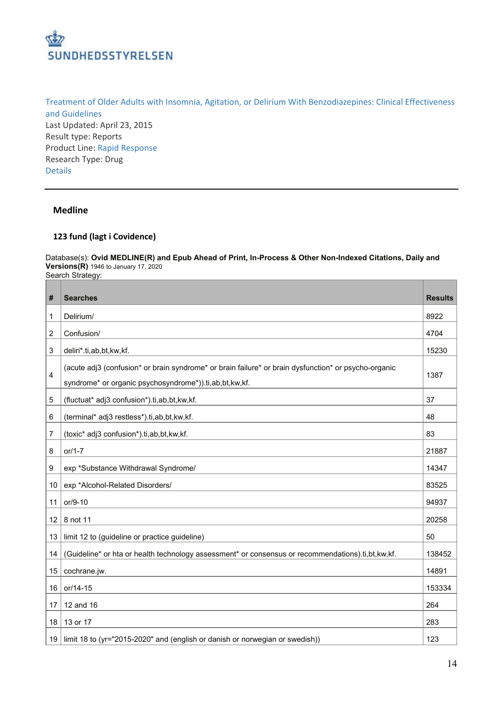

Treatment of Older Adults with Insomnia, Agitation, or Delirium With [Benzodiazepines:](https://cadth.ca/treatment-older-adults-insomnia-agitation-or-delirium-benzodiazepines-clinical-effectiveness-and) Clinical Effectiveness and [Guidelines](https://cadth.ca/treatment-older-adults-insomnia-agitation-or-delirium-benzodiazepines-clinical-effectiveness-and) Last Updated: April 23, 2015 Result type: Reports Product Line: Rapid [Response](https://cadth.ca/about-cadth/what-we-do/products-services/rapid-response-service) Research Type: Drug [Details](https://cadth.ca/search?keywords=delirium)

### **Medline**

#### **fund (lagt i Covidence)**

Database(s): **Ovid MEDLINE(R) and Epub Ahead of Print, In-Process & Other Non-Indexed Citations, Daily and Versions(R)** 1946 to January 17, 2020 Search Strategy:

| #              | <b>Searches</b>                                                                                                                                                | <b>Results</b> |
|----------------|----------------------------------------------------------------------------------------------------------------------------------------------------------------|----------------|
| 1              | Delirium/                                                                                                                                                      | 8922           |
| $\overline{2}$ | Confusion/                                                                                                                                                     | 4704           |
| 3              | deliri*.ti,ab,bt,kw,kf.                                                                                                                                        | 15230          |
| $\overline{4}$ | (acute adj3 (confusion* or brain syndrome* or brain failure* or brain dysfunction* or psycho-organic<br>syndrome* or organic psychosyndrome*)).ti,ab,bt,kw,kf. | 1387           |
| $\sqrt{5}$     | (fluctuat* adj3 confusion*).ti,ab,bt,kw,kf.                                                                                                                    | 37             |
| 6              | (terminal* adj3 restless*).ti,ab,bt,kw,kf.                                                                                                                     | 48             |
| 7              | (toxic* adj3 confusion*).ti,ab,bt,kw,kf.                                                                                                                       | 83             |
| 8              | $or/1-7$                                                                                                                                                       | 21887          |
| 9              | exp *Substance Withdrawal Syndrome/                                                                                                                            | 14347          |
| 10             | exp *Alcohol-Related Disorders/                                                                                                                                | 83525          |
| 11             | or/9-10                                                                                                                                                        | 94937          |
| 12             | 8 not 11                                                                                                                                                       | 20258          |
| 13             | limit 12 to (guideline or practice guideline)                                                                                                                  | 50             |
| 14             | (Guideline* or hta or health technology assessment* or consensus or recommendations).ti,bt,kw,kf.                                                              | 138452         |
| 15             | cochrane.jw.                                                                                                                                                   | 14891          |
| 16             | or/14-15                                                                                                                                                       | 153334         |
| 17             | 12 and 16                                                                                                                                                      | 264            |
| 18             | 13 or 17                                                                                                                                                       | 283            |
| 19             | limit 18 to (yr="2015-2020" and (english or danish or norwegian or swedish))                                                                                   | 123            |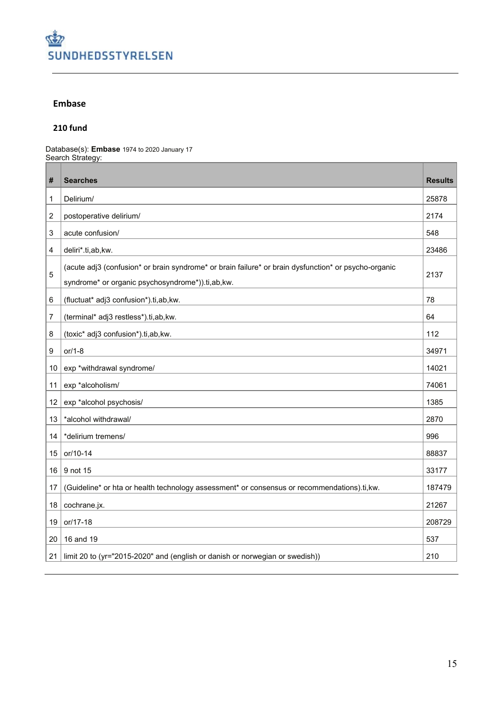

### **Embase**

### **fund**

Database(s): **Embase** 1974 to 2020 January 17 Search Strategy:

| #               | <b>Searches</b>                                                                                                                                          | <b>Results</b> |
|-----------------|----------------------------------------------------------------------------------------------------------------------------------------------------------|----------------|
| 1               | Delirium/                                                                                                                                                | 25878          |
| 2               | postoperative delirium/                                                                                                                                  | 2174           |
| 3               | acute confusion/                                                                                                                                         | 548            |
| 4               | deliri*.ti,ab,kw.                                                                                                                                        | 23486          |
| 5               | (acute adj3 (confusion* or brain syndrome* or brain failure* or brain dysfunction* or psycho-organic<br>syndrome* or organic psychosyndrome*)).ti,ab,kw. | 2137           |
| 6               | (fluctuat* adj3 confusion*).ti,ab,kw.                                                                                                                    | 78             |
| 7               | (terminal* adj3 restless*).ti,ab,kw.                                                                                                                     | 64             |
| 8               | (toxic* adj3 confusion*).ti,ab,kw.                                                                                                                       | 112            |
| 9               | or/1-8                                                                                                                                                   | 34971          |
| 10              | exp *withdrawal syndrome/                                                                                                                                | 14021          |
| 11              | exp *alcoholism/                                                                                                                                         | 74061          |
| 12              | exp *alcohol psychosis/                                                                                                                                  | 1385           |
| 13              | *alcohol withdrawal/                                                                                                                                     | 2870           |
| 14              | *delirium tremens/                                                                                                                                       | 996            |
| 15              | or/10-14                                                                                                                                                 | 88837          |
| 16 <sup>1</sup> | 9 not 15                                                                                                                                                 | 33177          |
| 17              | (Guideline* or hta or health technology assessment* or consensus or recommendations).ti,kw.                                                              | 187479         |
| 18              | cochrane.jx.                                                                                                                                             | 21267          |
| 19              | or/17-18                                                                                                                                                 | 208729         |
| 20              | 16 and 19                                                                                                                                                | 537            |
| 21              | limit 20 to (yr="2015-2020" and (english or danish or norwegian or swedish))                                                                             | 210            |